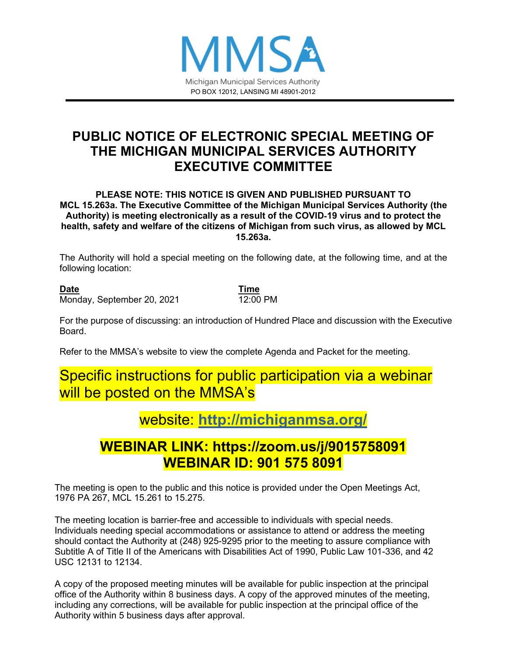

## **PUBLIC NOTICE OF ELECTRONIC SPECIAL MEETING OF THE MICHIGAN MUNICIPAL SERVICES AUTHORITY EXECUTIVE COMMITTEE**

#### **PLEASE NOTE: THIS NOTICE IS GIVEN AND PUBLISHED PURSUANT TO MCL 15.263a. The Executive Committee of the Michigan Municipal Services Authority (the Authority) is meeting electronically as a result of the COVID**‐**19 virus and to protect the health, safety and welfare of the citizens of Michigan from such virus, as allowed by MCL 15.263a.**

The Authority will hold a special meeting on the following date, at the following time, and at the following location:

**Date Time** Monday, September 20, 2021 12:00 PM

For the purpose of discussing: an introduction of Hundred Place and discussion with the Executive Board.

Refer to the MMSA's website to view the complete Agenda and Packet for the meeting.

# Specific instructions for public participation via a webinar will be posted on the MMSA's

# website: **<http://michiganmsa.org/>**

# **WEBINAR LINK: https://zoom.us/j/9015758091 WEBINAR ID: 901 575 8091**

The meeting is open to the public and this notice is provided under the Open Meetings Act, 1976 PA 267, MCL 15.261 to 15.275.

The meeting location is barrier-free and accessible to individuals with special needs. Individuals needing special accommodations or assistance to attend or address the meeting should contact the Authority at (248) 925-9295 prior to the meeting to assure compliance with Subtitle A of Title II of the Americans with Disabilities Act of 1990, Public Law 101-336, and 42 USC 12131 to 12134.

A copy of the proposed meeting minutes will be available for public inspection at the principal office of the Authority within 8 business days. A copy of the approved minutes of the meeting, including any corrections, will be available for public inspection at the principal office of the Authority within 5 business days after approval.